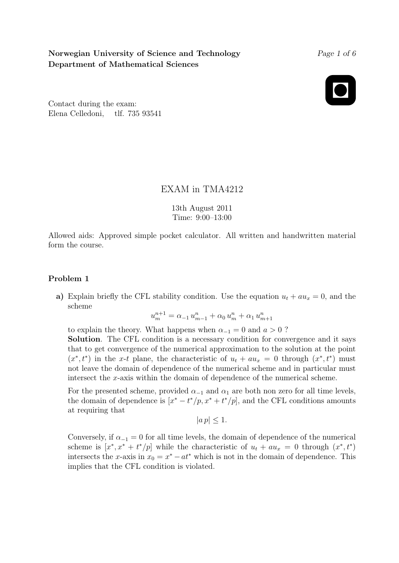# Norwegian University of Science and Technology Department of Mathematical Sciences

#### Page 1 of 6

Contact during the exam: Elena Celledoni, tlf. 735 93541

## EXAM in TMA4212

13th August 2011 Time: 9:00–13:00

Allowed aids: Approved simple pocket calculator. All written and handwritten material form the course.

### Problem 1

a) Explain briefly the CFL stability condition. Use the equation  $u_t + au_x = 0$ , and the scheme

$$
u_m^{n+1} = \alpha_{-1} u_{m-1}^n + \alpha_0 u_m^n + \alpha_1 u_{m+1}^n
$$

to explain the theory. What happens when  $\alpha_{-1} = 0$  and  $a > 0$ ?

Solution. The CFL condition is a necessary condition for convergence and it says that to get convergence of the numerical approximation to the solution at the point  $(x^*, t^*)$  in the x-t plane, the characteristic of  $u_t + au_x = 0$  through  $(x^*, t^*)$  must not leave the domain of dependence of the numerical scheme and in particular must intersect the x-axis within the domain of dependence of the numerical scheme.

For the presented scheme, provided  $\alpha_{-1}$  and  $\alpha_1$  are both non zero for all time levels, the domain of dependence is  $[x^* - t^*/p, x^* + t^*/p]$ , and the CFL conditions amounts at requiring that

 $|a p| < 1.$ 

Conversely, if  $\alpha_{-1} = 0$  for all time levels, the domain of dependence of the numerical scheme is  $[x^*, x^* + t^*/p]$  while the characteristic of  $u_t + au_x = 0$  through  $(x^*, t^*)$ intersects the x-axis in  $x_0 = x^* - at^*$  which is not in the domain of dependence. This implies that the CFL condition is violated.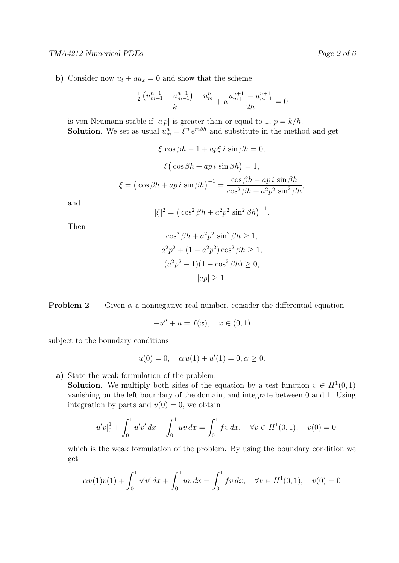### TMA4212 Numerical PDEs Page 2 of 6

b) Consider now  $u_t + au_x = 0$  and show that the scheme

$$
\frac{\frac{1}{2}\left(u_{m+1}^{n+1} + u_{m-1}^{n+1}\right) - u_m^n}{k} + a \frac{u_{m+1}^{n+1} - u_{m-1}^{n+1}}{2h} = 0
$$

is von Neumann stable if  $|ap|$  is greater than or equal to 1,  $p = k/h$ . **Solution**. We set as usual  $u_m^n = \xi^n e^{m\beta h}$  and substitute in the method and get

> $\xi \cos \beta h - 1 + ap\xi i \sin \beta h = 0,$  $\xi(\cos\beta h + ap\,i\,\sin\beta h) = 1,$  $\xi = (\cos \beta h + ap i \sin \beta h)^{-1} =$  $\cos \beta h - ap i \sin \beta h$  $\frac{\cos^2\beta h - \alpha p v \sin \beta h}{\cos^2\beta h + a^2 p^2 \sin^2\beta h},$

and

$$
|\xi|^2 = \left(\cos^2 \beta h + a^2 p^2 \sin^2 \beta h\right)^{-1}.
$$

Then

$$
\cos^2 \beta h + a^2 p^2 \sin^2 \beta h \ge 1,
$$
  
\n
$$
a^2 p^2 + (1 - a^2 p^2) \cos^2 \beta h \ge 1,
$$
  
\n
$$
(a^2 p^2 - 1)(1 - \cos^2 \beta h) \ge 0,
$$
  
\n
$$
|ap| \ge 1.
$$

**Problem 2** Given  $\alpha$  a nonnegative real number, consider the differential equation

$$
-u'' + u = f(x), \quad x \in (0,1)
$$

subject to the boundary conditions

$$
u(0) = 0
$$
,  $\alpha u(1) + u'(1) = 0, \alpha \ge 0$ .

a) State the weak formulation of the problem.

**Solution**. We multiply both sides of the equation by a test function  $v \in H^1(0,1)$ vanishing on the left boundary of the domain, and integrate between 0 and 1. Using integration by parts and  $v(0) = 0$ , we obtain

$$
-u'v|_0^1 + \int_0^1 u'v' dx + \int_0^1 uv dx = \int_0^1 fv dx, \quad \forall v \in H^1(0,1), \quad v(0) = 0
$$

which is the weak formulation of the problem. By using the boundary condition we get

$$
\alpha u(1)v(1) + \int_0^1 u'v' \, dx + \int_0^1 uv \, dx = \int_0^1 fv \, dx, \quad \forall v \in H^1(0,1), \quad v(0) = 0
$$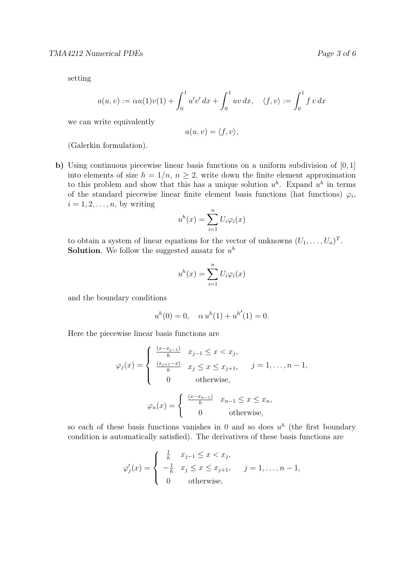setting

$$
a(u, v) := \alpha u(1)v(1) + \int_0^1 u'v' dx + \int_0^1 uv dx, \quad \langle f, v \rangle := \int_0^1 f v dx
$$

we can write equivalently

$$
a(u, v) = \langle f, v \rangle,
$$

(Galerkin formulation).

b) Using continuous piecewise linear basis functions on a uniform subdivision of [0, 1] into elements of size  $h = 1/n$ ,  $n \geq 2$ , write down the finite element approximation to this problem and show that this has a unique solution  $u^h$ . Expand  $u^h$  in terms of the standard piecewise linear finite element basis functions (hat functions)  $\varphi_i$ ,  $i = 1, 2, \ldots, n$ , by writing

$$
u^{h}(x) = \sum_{i=1}^{n} U_{i} \varphi_{i}(x)
$$

to obtain a system of linear equations for the vector of unknowns  $(U_1, \ldots, U_n)^T$ . **Solution**. We follow the suggested ansatz for  $u^h$ 

$$
u^{h}(x) = \sum_{i=1}^{n} U_{i} \varphi_{i}(x)
$$

and the boundary conditions

$$
uh(0) = 0, \quad \alpha uh(1) + uh'(1) = 0.
$$

Here the piecewise linear basis functions are

$$
\varphi_j(x) = \begin{cases}\n\frac{(x-x_{j-1})}{h} & x_{j-1} \le x < x_j, \\
\frac{(x_{j+1}-x)}{h} & x_j \le x \le x_{j+1}, \quad j = 1, \dots, n-1, \\
0 & \text{otherwise,} \\
\varphi_n(x) = \begin{cases}\n\frac{(x-x_{n-1})}{h} & x_{n-1} \le x \le x_n, \\
0 & \text{otherwise,}\n\end{cases}\n\end{cases}
$$

so each of these basis functions vanishes in 0 and so does  $u^h$  (the first boundary condition is automatically satisfied). The derivatives of these basis functions are

$$
\varphi'_j(x) = \begin{cases} \frac{1}{h} & x_{j-1} \le x < x_j, \\ -\frac{1}{h} & x_j \le x \le x_{j+1}, \\ 0 & \text{otherwise}, \end{cases} \quad j = 1, ..., n-1,
$$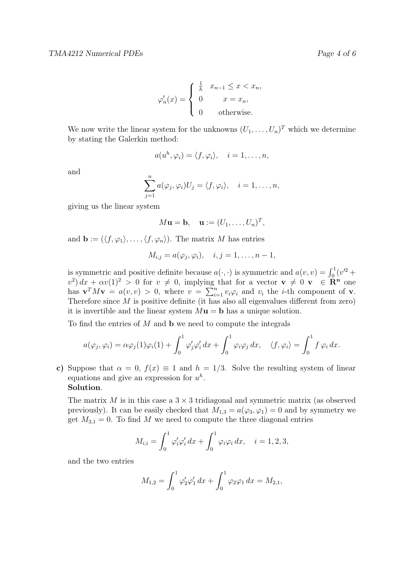$$
\varphi'_n(x) = \begin{cases} \frac{1}{h} & x_{n-1} \leq x < x_n, \\ 0 & x = x_n, \\ 0 & \text{otherwise.} \end{cases}
$$

We now write the linear system for the unknowns  $(U_1, \ldots, U_n)^T$  which we determine by stating the Galerkin method:

$$
a(u^h, \varphi_i) = \langle f, \varphi_i \rangle, \quad i = 1, \dots, n,
$$

and

$$
\sum_{j=1}^n a(\varphi_j, \varphi_i) U_j = \langle f, \varphi_i \rangle, \quad i = 1, \dots, n,
$$

giving us the linear system

$$
M\mathbf{u} = \mathbf{b}, \quad \mathbf{u} := (U_1, \dots, U_n)^T,
$$

and  $\mathbf{b} := (\langle f, \varphi_1 \rangle, \ldots, \langle f, \varphi_n \rangle)$ . The matrix M has entries

$$
M_{i,j} = a(\varphi_j, \varphi_i), \quad i, j = 1, \dots, n-1,
$$

is symmetric and positive definite because  $a(\cdot, \cdot)$  is symmetric and  $a(v, v) = \int_0^1 (v^2 +$  $(v^2) dx + \alpha v(1)^2 > 0$  for  $v \neq 0$ , implying that for a vector  $\mathbf{v} \neq 0$   $\mathbf{v} \in \mathbb{R}^n$  one has  $\mathbf{v}^T M \mathbf{v} = a(v, v) > 0$ , where  $v = \sum_{i=1}^n v_i \varphi_i$  and  $v_i$  the *i*-th component of **v**. Therefore since  $M$  is positive definite (it has also all eigenvalues different from zero) it is invertible and the linear system  $M\mathbf{u} = \mathbf{b}$  has a unique solution.

To find the entries of  $M$  and  $\bf{b}$  we need to compute the integrals

$$
a(\varphi_j, \varphi_i) = \alpha \varphi_j(1) \varphi_i(1) + \int_0^1 \varphi'_j \varphi'_i dx + \int_0^1 \varphi_i \varphi_j dx, \quad \langle f, \varphi_i \rangle = \int_0^1 f \varphi_i dx.
$$

c) Suppose that  $\alpha = 0$ ,  $f(x) \equiv 1$  and  $h = 1/3$ . Solve the resulting system of linear equations and give an expression for  $u^h$ . Solution.

The matrix  $M$  is in this case a  $3 \times 3$  tridiagonal and symmetric matrix (as observed previously). It can be easily checked that  $M_{1,3} = a(\varphi_3, \varphi_1) = 0$  and by symmetry we get  $M_{3,1} = 0$ . To find M we need to compute the three diagonal entries

$$
M_{i,i} = \int_0^1 \varphi_i' \varphi_i' \, dx + \int_0^1 \varphi_i \varphi_i \, dx, \quad i = 1, 2, 3,
$$

and the two entries

$$
M_{1,2} = \int_0^1 \varphi_2' \varphi_1' dx + \int_0^1 \varphi_2 \varphi_1 dx = M_{2,1},
$$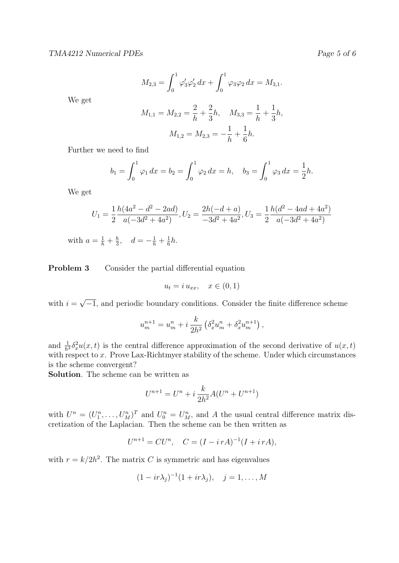$M_{2,3} =$  $\int_0^1$ 0  $\varphi_3'\varphi_2' dx +$  $\int_0^1$ 0  $\varphi_3\varphi_2 dx = M_{3,1}.$ 

We get

$$
M_{1,1} = M_{2,2} = \frac{2}{h} + \frac{2}{3}h, \quad M_{3,3} = \frac{1}{h} + \frac{1}{3}h,
$$
  

$$
M_{1,2} = M_{2,3} = -\frac{1}{h} + \frac{1}{6}h.
$$

Further we need to find

$$
b_1 = \int_0^1 \varphi_1 dx = b_2 = \int_0^1 \varphi_2 dx = h, \quad b_3 = \int_0^1 \varphi_3 dx = \frac{1}{2}h.
$$

We get

$$
U_1 = \frac{1}{2} \frac{h(4a^2 - d^2 - 2ad)}{a(-3d^2 + 4a^2)}, U_2 = \frac{2h(-d+a)}{-3d^2 + 4a^2}, U_3 = \frac{1}{2} \frac{h(d^2 - 4ad + 4a^2)}{a(-3d^2 + 4a^2)}
$$

with  $a = \frac{1}{h} + \frac{h}{3}$  $\frac{h}{3}$ ,  $d = -\frac{1}{h} + \frac{1}{6}$  $\frac{1}{6}h$ .

**Problem 3** Consider the partial differential equation

$$
u_t = i u_{xx}, \quad x \in (0, 1)
$$

with  $i =$ √  $\overline{-1}$ , and periodic boundary conditions. Consider the finite difference scheme

$$
u_m^{n+1} = u_m^n + i \frac{k}{2h^2} \left( \delta_x^2 u_m^n + \delta_x^2 u_m^{n+1} \right),
$$

and  $\frac{1}{h^2} \delta_x^2 u(x, t)$  is the central difference approximation of the second derivative of  $u(x, t)$ with respect to x. Prove Lax-Richtmyer stability of the scheme. Under which circumstances is the scheme convergent?

Solution. The scheme can be written as

$$
U^{n+1} = U^n + i \frac{k}{2h^2} A (U^n + U^{n+1})
$$

with  $U^n = (U_1^n, \ldots, U_M^n)^T$  and  $U_0^n = U_M^n$ , and A the usual central difference matrix discretization of the Laplacian. Then the scheme can be then written as

$$
U^{n+1} = CU^n, \quad C = (I - i\,rA)^{-1}(I + i\,rA),
$$

with  $r = k/2h^2$ . The matrix C is symmetric and has eigenvalues

$$
(1 - ir\lambda_j)^{-1}(1 + ir\lambda_j), \quad j = 1, \dots, M
$$